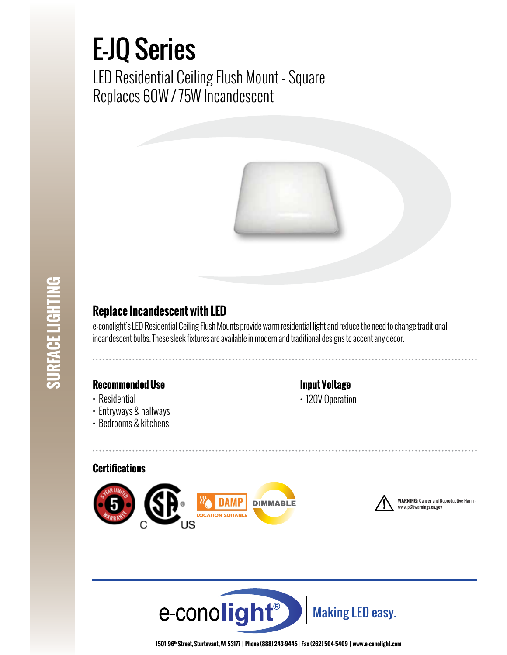# E-JQ Series

LED Residential Ceiling Flush Mount - Square Replaces 60W / 75W Incandescent



## **Replace Incandescent with LED**

e-conolight's LED Residential Ceiling Flush Mounts provide warm residential light and reduce the need to change traditional incandescent bulbs. These sleek fixtures are available in modern and traditional designs to accent any décor.

### **Recommended Use**

- Residential
- Entryways & hallways
- Bedrooms & kitchens

### **Input Voltage**

• 120V Operation

#### **Certifications**





**WARNING:** Cancer and Reproductive Harm - www.p65warnings.ca.gov



**1501 96th Street, Sturtevant, WI 53177 | Phone (888) 243-9445 | Fax (262) 504-5409 | www.e–conolight.com**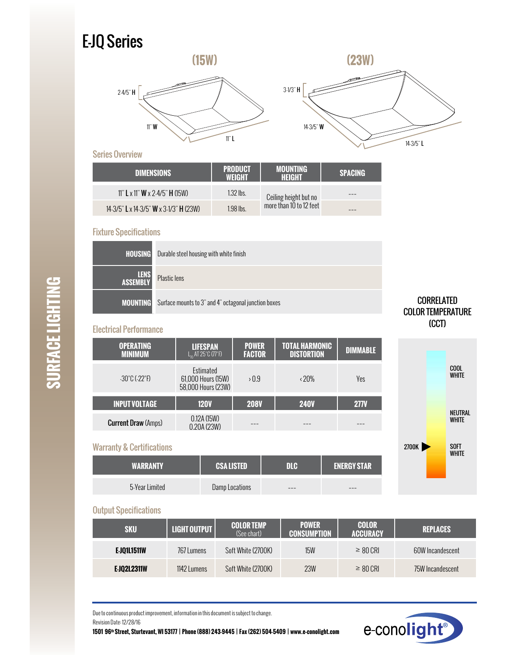# E-JQ Series





#### Series Overview

| <b>DIMENSIONS</b>                            | <b>PRODUCT</b><br>WEIGHT | <b>MOUNTING</b><br>HEIGHT | <b>SPACING</b> |
|----------------------------------------------|--------------------------|---------------------------|----------------|
| 11" L x 11" <b>W</b> x 2-4/5" <b>H</b> (15W) | $1.32$ lbs.              | Ceiling height but no     |                |
| 14-3/5" L x 14-3/5" W x 3 1/3" H (23W)       | $1.98$ lbs.              | more than 10 to 12 feet   |                |

#### Fixture Specifications

| <b>HOUSING</b>          | Durable steel housing with white finish              |
|-------------------------|------------------------------------------------------|
| <b>LENS</b><br>ASSEMBLY | <b>Plastic lens</b>                                  |
| <b>MOUNTING</b>         | Surface mounts to 3" and 4" octagonal junction boxes |

#### Electrical Performance

| <b>OPERATING</b><br><b>MINIMUM</b> | <b>LIFESPAN</b><br>$L_n$ AT 25°C $(77°F)$             | <b>POWER</b><br><b>FACTOR</b> | <b>TOTAL HARMONIC</b><br><b>DISTORTION</b> | <b>DIMMABLE</b> |
|------------------------------------|-------------------------------------------------------|-------------------------------|--------------------------------------------|-----------------|
| $-30^{\circ}$ C ( $-22^{\circ}$ F) | Estimated<br>61,000 Hours (15W)<br>58,000 Hours (23W) | >0.9                          | $\langle 20\%$                             | Yes             |
| <b>INPUT VOLTAGE</b>               | <b>120V</b>                                           | <b>208V</b>                   | <b>240V</b>                                | <b>277V</b>     |
| <b>Current Draw (Amps)</b>         | 0.12A(15W)<br>0.20A (23W)                             |                               |                                            |                 |

#### Warranty & Certifications

| <b>WARRANTY</b> | <b>CSALISTED</b> | me  | <b>ENERGY STAR</b> |
|-----------------|------------------|-----|--------------------|
| 5-Year Limited  | Damp Locations   | --- | ---                |





#### Output Specifications

| <b>SKU</b>  | LIGHT OUTPUT | <b>COLOR TEMP</b><br>(See chart) | <b>POWER</b><br><b>CONSUMPTION</b> | <b>COLOR</b><br><b>ACCURACY</b> | <b>REPLACES</b>  |
|-------------|--------------|----------------------------------|------------------------------------|---------------------------------|------------------|
| E JOIL1511W | 767 Lumens   | Soft White (2700K)               | <b>15W</b>                         | $\geq 80$ CRI                   | 60W Incandescent |
| E-J02L2311W | 1142 Lumens  | Soft White (2700K)               | 23W                                | $\geq 80$ CRI                   | 75W Incandescent |

Due to continuous product improvement, information in this document is subject to change. Revision Date: 12/28/16

**1501 96th Street, Sturtevant, WI 53177 | Phone (888) 243-9445 | Fax (262) 504-5409 | www.e–conolight.com**



**SURFACE LIGHTING SURFACE LIGHTING**